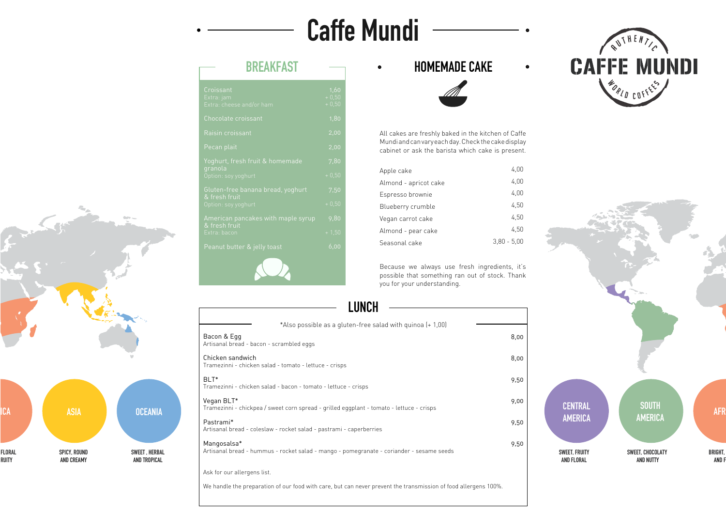# **BREAKFAST**

## **HOMEMADE CAKE**



All cakes are freshly baked in the kitchen of Caffe Mundi and can vary each day. Check the cake display cabinet or ask the barista which cake is present.

Because we always use fresh ingredients, it's possible that something ran out of stock. Thank you for your understanding.

> **SOUTH AMERICA AFR**

# **LUNCH**

| Croissant<br>Extra: jam<br>Extra: cheese and/or ham | 1,60<br>$+0,50$<br>$+0,50$ |
|-----------------------------------------------------|----------------------------|
| Chocolate croissant                                 | 1,80                       |
| Raisin croissant                                    | 2,00                       |
| Pecan plait                                         | 2,00                       |
| Yoghurt, fresh fruit & homemade                     | 7,80                       |
| granola<br>Option: soy yoghurt                      | $+0,50$                    |
| Gluten-free banana bread, yoghurt<br>& fresh fruit  | 7,50                       |
| Option: soy yoghurt                                 | $+0,50$                    |
| American pancakes with maple syrup<br>& fresh fruit | 9,80                       |
| Extra: bacon                                        | $+1,50$                    |
| Peanut butter & jelly toast                         | 6,00                       |
|                                                     |                            |

| Apple cake            | 4,00          |
|-----------------------|---------------|
| Almond - apricot cake | 4.00          |
| Espresso brownie      | 4.00          |
| Blueberry crumble     | 4,50          |
| Vegan carrot cake     | 4.50          |
| Almond - pear cake    | 4.50          |
| Seasonal cake         | $3.80 - 5.00$ |

We handle the preparation of our food with care, but can never prevent the transmission of food allergens 100%.



| *Also possible as a gluten-free salad with quinoa (+ 1,00)<br>Bacon & Egg<br>Artisanal bread - bacon - scrambled eggs | 8,00 |
|-----------------------------------------------------------------------------------------------------------------------|------|
| Chicken sandwich<br>Tramezinni - chicken salad - tomato - lettuce - crisps                                            | 8,00 |
| BLT <sup>*</sup><br>Tramezinni - chicken salad - bacon - tomato - lettuce - crisps                                    | 9,50 |
| Vegan BLT*<br>Tramezinni - chickpea / sweet corn spread - grilled eggplant - tomato - lettuce - crisps                | 9,00 |
| Pastrami*<br>Artisanal bread - coleslaw - rocket salad - pastrami - caperberries                                      | 9,50 |
| Mangosalsa*<br>Artisanal bread - hummus - rocket salad - mango - pomegranate - coriander - sesame seeds               | 9,50 |
| Ask for our allergens list.                                                                                           |      |

# **Caffe Mundi**

 $\bullet$ 

**CENTRAL AMERICA**

**SWEET, FRUITY AND FLORAL**

**SWEET, CHOCOLATY AND NUTTY**

**BRIGHT, AND F** 



 $\bullet$